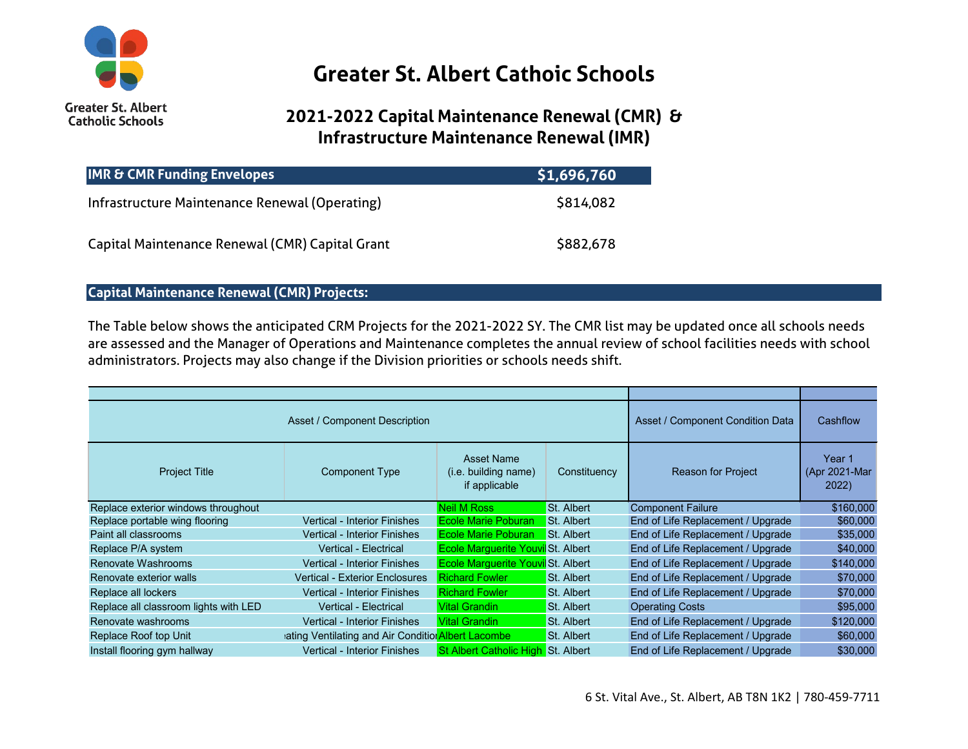

## **Greater St. Albert Cathoic Schools**

## **2021-2022 Capital Maintenance Renewal (CMR) & Infrastructure Maintenance Renewal (IMR)**

| <b>IMR &amp; CMR Funding Envelopes</b>          | \$1,696,760 |
|-------------------------------------------------|-------------|
| Infrastructure Maintenance Renewal (Operating)  | \$814,082   |
| Capital Maintenance Renewal (CMR) Capital Grant | \$882,678   |

## **Capital Maintenance Renewal (CMR) Projects:**

The Table below shows the anticipated CRM Projects for the 2021-2022 SY. The CMR list may be updated once all schools needs are assessed and the Manager of Operations and Maintenance completes the annual review of school facilities needs with school administrators. Projects may also change if the Division priorities or schools needs shift.

| Asset / Component Description         |                                                    |                                                            | Asset / Component Condition Data | Cashflow                          |                                   |
|---------------------------------------|----------------------------------------------------|------------------------------------------------------------|----------------------------------|-----------------------------------|-----------------------------------|
| <b>Project Title</b>                  | <b>Component Type</b>                              | <b>Asset Name</b><br>(i.e. building name)<br>if applicable | Constituency                     | <b>Reason for Project</b>         | Year 1<br>(Apr 2021-Mar)<br>2022) |
| Replace exterior windows throughout   |                                                    | <b>Neil M Ross</b>                                         | <b>St. Albert</b>                | <b>Component Failure</b>          | \$160,000                         |
| Replace portable wing flooring        | <b>Vertical - Interior Finishes</b>                | <b>Ecole Marie Poburan</b>                                 | St. Albert                       | End of Life Replacement / Upgrade | \$60,000                          |
| Paint all classrooms                  | <b>Vertical - Interior Finishes</b>                | <b>Ecole Marie Poburan</b>                                 | St. Albert                       | End of Life Replacement / Upgrade | \$35,000                          |
| Replace P/A system                    | <b>Vertical - Electrical</b>                       | <b>Ecole Marquerite Youvil St. Albert</b>                  |                                  | End of Life Replacement / Upgrade | \$40,000                          |
| Renovate Washrooms                    | <b>Vertical - Interior Finishes</b>                | <b>Ecole Marguerite Youvil St. Albert</b>                  |                                  | End of Life Replacement / Upgrade | \$140,000                         |
| Renovate exterior walls               | <b>Vertical - Exterior Enclosures</b>              | <b>Richard Fowler</b>                                      | <b>St. Albert</b>                | End of Life Replacement / Upgrade | \$70,000                          |
| Replace all lockers                   | <b>Vertical - Interior Finishes</b>                | <b>Richard Fowler</b>                                      | St. Albert                       | End of Life Replacement / Upgrade | \$70,000                          |
| Replace all classroom lights with LED | <b>Vertical - Electrical</b>                       | <b>Vital Grandin</b>                                       | St. Albert                       | <b>Operating Costs</b>            | \$95,000                          |
| Renovate washrooms                    | <b>Vertical - Interior Finishes</b>                | <b>Vital Grandin</b>                                       | St. Albert                       | End of Life Replacement / Upgrade | \$120,000                         |
| Replace Roof top Unit                 | ating Ventilating and Air Condition Albert Lacombe |                                                            | St. Albert                       | End of Life Replacement / Upgrade | \$60,000                          |
| Install flooring gym hallway          | <b>Vertical - Interior Finishes</b>                | St Albert Catholic High St. Albert                         |                                  | End of Life Replacement / Upgrade | \$30,000                          |